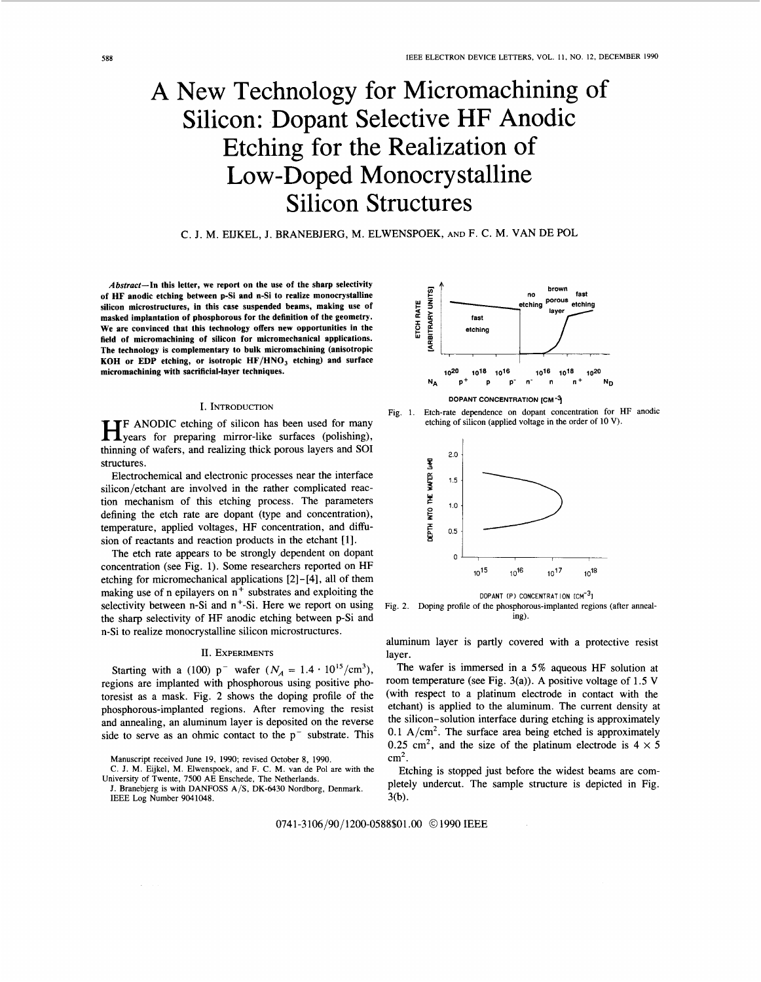# <span id="page-0-0"></span>**A** New Technology for Micromachining of Silicon: Dopant Selective HF Anodic Etching for the Realization of Low -Doped Monocrystalline Silicon Structures

C. J. M. EIJKEL, J. BRANEBJERG, M. ELWENSPOEK, AND F. C. M. VAN DE POL

**Abstract-In this letter, we report on the use of the sharp selectivity of HF anodic etching between p-Si and n-Si to realize monocrystalline silicon microstructures, in this case suspended beams, making use of masked implantation of phosphorous for the definition of the geometry. We are convinced that this technology offers new opportunities in the field of micromachining of silicon for micromechanical applications. The technology is complementary to bulk micromachining (anisotropic KOH or EDP etching, or isotropic HF/HNO, etching) and surface micromachining with sacrificial-layer techniques.** 

# I. INTRODUCTION

**HE** ANODIC etching of silicon has been used for many years for preparing mirror-like surfaces (polishing), thinning of wafers, and realizing thick porous layers and SO1 structures.

Electrochemical and electronic processes near the interface silicon/etchant are involved in the rather complicated reaction mechanism of this etching process. The parameters defining the etch rate are dopant (type and concentration), temperature, applied voltages, HF concentration, and difision of reactants and reaction products in the etchant **[l].** 

The etch rate appears to be strongly dependent on dopant concentration (see Fig. 1). Some researchers reported on HF etching for micromechanical applications [2] - [4], all of them making use of n epilayers on  $n^+$  substrates and exploiting the selectivity between n-Si and  $n^+$ -Si. Here we report on using the sharp selectivity of HF anodic etching between p-Si and n-Si to realize monocrystalline silicon microstructures.

#### II. EXPERIMENTS

Starting with a (100)  $p^{-}$  wafer  $(N_A = 1.4 \cdot 10^{15}/\text{cm}^3)$ , regions are implanted with phosphorous using positive photoresist as a mask. Fig. 2 shows the doping profile of the phosphorous-implanted regions. After removing the resist and annealing, an aluminum layer **is** deposited on the reverse side to serve as an ohmic contact to the  $p^-$  substrate. This

Manuscript received June 19, 1990; revised October 8, 1990.



Fig. 1. Etch-rate dependence on dopant concentration for HF anodic etching of silicon (applied voltage in the order of 10 V).



**DOPANT (P) CONCENTRATION**  $ICM^{-3}$ **<sup>1</sup>** Fig. 2. Doping profile of the phosphorous-implanted regions (after annealing).

aluminum layer is partly covered with a protective resist layer.

The wafer is immersed in a 5% aqueous HF solution at room temperature (see Fig. 3(a)). A positive voltage of 1.5 V (with respect to a platinum electrode in contact with the etchant) is applied to the aluminum. The current density at the silicon- solution interface during etching is approximately 0.1 A/cm<sup>2</sup>. The surface area being etched is approximately 0.25 cm<sup>2</sup>, and the size of the platinum electrode is  $4 \times 5$ cm2.

Etching is stopped just before the widest beams are completely undercut. The sample structure is depicted in Fig.  $3(b)$ .

074 1-3 106/90/ 1200-0588\$01 .OO *O* 1990 IEEE

C. J. M. Eijkel, M. Elwenspoek, and F. C. M. van de Pol are with the University of Twente, 7500 AE Enschede, The Netherlands.

J. Branebjerg is with DANFOSS A/S, DK-6430 Nordborg, Denmark. IEEE Log **Number** 9041048.